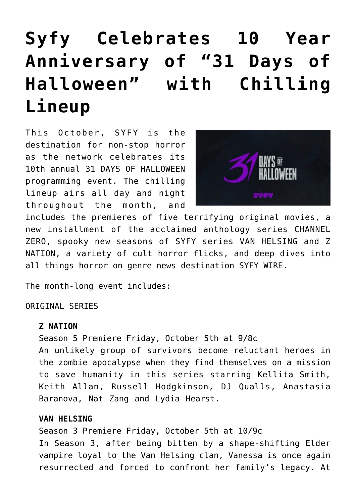# **[Syfy Celebrates 10 Year](https://www.halloweenmoviesontv.com/announcements/syfy-celebrates-10-year-anniversary-of-31-days-of-halloween-with-chilling-lineup/) [Anniversary of "31 Days of](https://www.halloweenmoviesontv.com/announcements/syfy-celebrates-10-year-anniversary-of-31-days-of-halloween-with-chilling-lineup/) [Halloween" with Chilling](https://www.halloweenmoviesontv.com/announcements/syfy-celebrates-10-year-anniversary-of-31-days-of-halloween-with-chilling-lineup/) [Lineup](https://www.halloweenmoviesontv.com/announcements/syfy-celebrates-10-year-anniversary-of-31-days-of-halloween-with-chilling-lineup/)**

This October, SYFY is the destination for non-stop horror as the network celebrates its 10th annual 31 DAYS OF HALLOWEEN programming event. The chilling lineup airs all day and night throughout the month, and



includes the premieres of five terrifying original movies, a new installment of the acclaimed anthology series CHANNEL ZERO, spooky new seasons of SYFY series VAN HELSING and Z NATION, a variety of cult horror flicks, and deep dives into all things horror on genre news destination SYFY WIRE.

The month-long event includes:

## ORIGINAL SERIES

#### **Z NATION**

Season 5 Premiere Friday, October 5th at 9/8c An unlikely group of survivors become reluctant heroes in the zombie apocalypse when they find themselves on a mission to save humanity in this series starring Kellita Smith, Keith Allan, Russell Hodgkinson, DJ Qualls, Anastasia Baranova, Nat Zang and Lydia Hearst.

## **VAN HELSING**

Season 3 Premiere Friday, October 5th at 10/9c In Season 3, after being bitten by a shape-shifting Elder vampire loyal to the Van Helsing clan, Vanessa is once again resurrected and forced to confront her family's legacy. At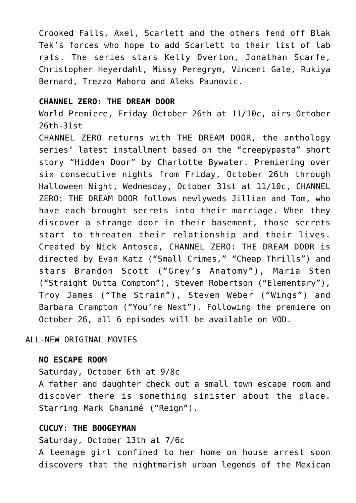Crooked Falls, Axel, Scarlett and the others fend off Blak Tek's forces who hope to add Scarlett to their list of lab rats. The series stars Kelly Overton, Jonathan Scarfe, Christopher Heyerdahl, Missy Peregrym, Vincent Gale, Rukiya Bernard, Trezzo Mahoro and Aleks Paunovic.

## **CHANNEL ZERO: THE DREAM DOOR**

World Premiere, Friday October 26th at 11/10c, airs October 26th-31st

CHANNEL ZERO returns with THE DREAM DOOR, the anthology series' latest installment based on the "creepypasta" short story "Hidden Door" by Charlotte Bywater. Premiering over six consecutive nights from Friday, October 26th through Halloween Night, Wednesday, October 31st at 11/10c, CHANNEL ZERO: THE DREAM DOOR follows newlyweds Jillian and Tom, who have each brought secrets into their marriage. When they discover a strange door in their basement, those secrets start to threaten their relationship and their lives. Created by Nick Antosca, CHANNEL ZERO: THE DREAM DOOR is directed by Evan Katz ("Small Crimes," "Cheap Thrills") and stars Brandon Scott ("Grey's Anatomy"), Maria Sten ("Straight Outta Compton"), Steven Robertson ("Elementary"), Troy James ("The Strain"), Steven Weber ("Wings") and Barbara Crampton ("You're Next"). Following the premiere on October 26, all 6 episodes will be available on VOD.

## ALL-NEW ORIGINAL MOVIES

#### **NO ESCAPE ROOM**

Saturday, October 6th at 9/8c

A father and daughter check out a small town escape room and discover there is something sinister about the place. Starring Mark Ghanimé ("Reign").

#### **CUCUY: THE BOOGEYMAN**

Saturday, October 13th at 7/6c

A teenage girl confined to her home on house arrest soon discovers that the nightmarish urban legends of the Mexican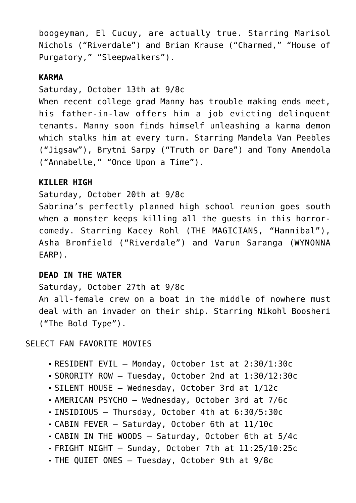boogeyman, El Cucuy, are actually true. Starring Marisol Nichols ("Riverdale") and Brian Krause ("Charmed," "House of Purgatory," "Sleepwalkers").

## **KARMA**

Saturday, October 13th at 9/8c

When recent college grad Manny has trouble making ends meet, his father-in-law offers him a job evicting delinquent tenants. Manny soon finds himself unleashing a karma demon which stalks him at every turn. Starring Mandela Van Peebles ("Jigsaw"), Brytni Sarpy ("Truth or Dare") and Tony Amendola ("Annabelle," "Once Upon a Time").

## **KILLER HIGH**

Saturday, October 20th at 9/8c

Sabrina's perfectly planned high school reunion goes south when a monster keeps killing all the guests in this horrorcomedy. Starring Kacey Rohl (THE MAGICIANS, "Hannibal"), Asha Bromfield ("Riverdale") and Varun Saranga (WYNONNA EARP).

## **DEAD IN THE WATER**

Saturday, October 27th at 9/8c

An all-female crew on a boat in the middle of nowhere must deal with an invader on their ship. Starring Nikohl Boosheri ("The Bold Type").

SELECT FAN FAVORITE MOVIES

- RESIDENT EVIL Monday, October 1st at 2:30/1:30c
- SORORITY ROW Tuesday, October 2nd at 1:30/12:30c
- SILENT HOUSE Wednesday, October 3rd at 1/12c
- AMERICAN PSYCHO Wednesday, October 3rd at 7/6c
- INSIDIOUS Thursday, October 4th at 6:30/5:30c
- CABIN FEVER Saturday, October 6th at 11/10c
- CABIN IN THE WOODS Saturday, October 6th at 5/4c
- FRIGHT NIGHT Sunday, October 7th at 11:25/10:25c
- THE QUIET ONES Tuesday, October 9th at 9/8c